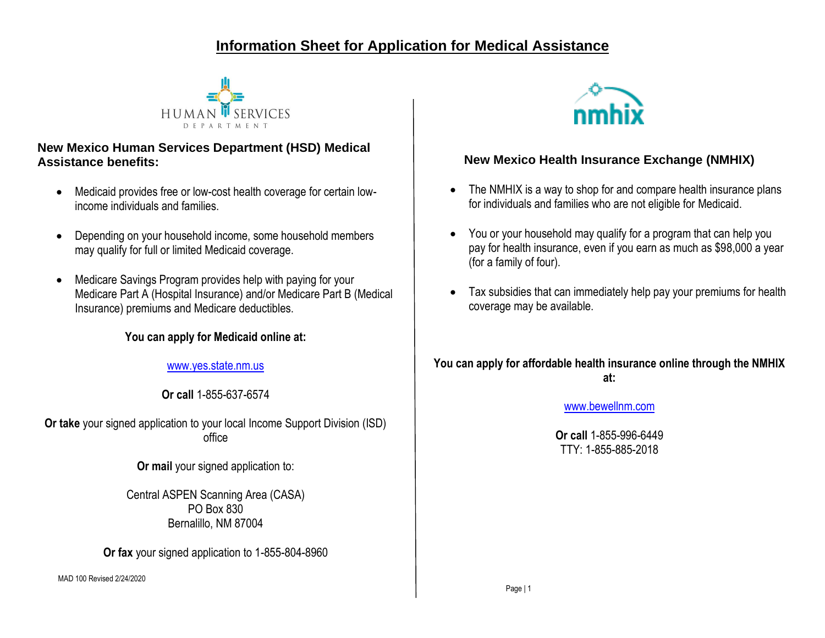# **Information Sheet for Application for Medical Assistance**



# **New Mexico Human Services Department (HSD) Medical Assistance benefits:**

- Medicaid provides free or low-cost health coverage for certain lowincome individuals and families.
- Depending on your household income, some household members may qualify for full or limited Medicaid coverage.
- Medicare Savings Program provides help with paying for your Medicare Part A (Hospital Insurance) and/or Medicare Part B (Medical Insurance) premiums and Medicare deductibles.

# **You can apply for Medicaid online at:**

[www.yes.state.nm.us](http://www.yes.state.nm.us/)

**Or call** 1-855-637-6574

**Or take** your signed application to your local Income Support Division (ISD) office

**Or mail your signed application to:** 

Central ASPEN Scanning Area (CASA) PO Box 830 Bernalillo, NM 87004

**Or fax** your signed application to 1-855-804-8960

MAD 100 Revised 2/24/2020



# **New Mexico Health Insurance Exchange (NMHIX)**

- The NMHIX is a way to shop for and compare health insurance plans for individuals and families who are not eligible for Medicaid.
- You or your household may qualify for a program that can help you pay for health insurance, even if you earn as much as \$98,000 a year (for a family of four).
- Tax subsidies that can immediately help pay your premiums for health coverage may be available.

# **You can apply for affordable health insurance online through the NMHIX at:**

## [www.bewellnm.com](http://www.bewellnm.com/)

**Or call** 1-855-996-6449 TTY: 1-855-885-2018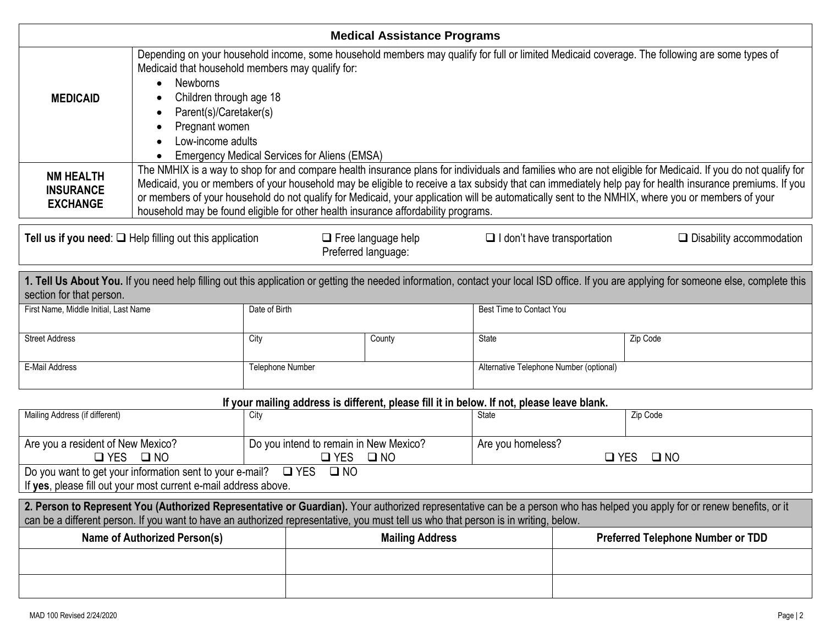| <b>Medical Assistance Programs</b>                                                                                                                                                                                    |                                                                                                                                                                                                                                                                                                                                                                                                                                                                                                                                                                  |                                                                                            |                          |                                         |                                                    |          |  |  |
|-----------------------------------------------------------------------------------------------------------------------------------------------------------------------------------------------------------------------|------------------------------------------------------------------------------------------------------------------------------------------------------------------------------------------------------------------------------------------------------------------------------------------------------------------------------------------------------------------------------------------------------------------------------------------------------------------------------------------------------------------------------------------------------------------|--------------------------------------------------------------------------------------------|--------------------------|-----------------------------------------|----------------------------------------------------|----------|--|--|
| <b>MEDICAID</b>                                                                                                                                                                                                       | Depending on your household income, some household members may qualify for full or limited Medicaid coverage. The following are some types of<br>Medicaid that household members may qualify for:<br><b>Newborns</b><br>Children through age 18<br>Parent(s)/Caretaker(s)<br>Pregnant women<br>Low-income adults<br><b>Emergency Medical Services for Aliens (EMSA)</b>                                                                                                                                                                                          |                                                                                            |                          |                                         |                                                    |          |  |  |
| <b>NM HEALTH</b><br><b>INSURANCE</b><br><b>EXCHANGE</b>                                                                                                                                                               | The NMHIX is a way to shop for and compare health insurance plans for individuals and families who are not eligible for Medicaid. If you do not qualify for<br>Medicaid, you or members of your household may be eligible to receive a tax subsidy that can immediately help pay for health insurance premiums. If you<br>or members of your household do not qualify for Medicaid, your application will be automatically sent to the NMHIX, where you or members of your<br>household may be found eligible for other health insurance affordability programs. |                                                                                            |                          |                                         |                                                    |          |  |  |
| Tell us if you need: $\Box$ Help filling out this application<br>$\Box$ Free language help<br>$\Box$ I don't have transportation<br>Preferred language:                                                               |                                                                                                                                                                                                                                                                                                                                                                                                                                                                                                                                                                  |                                                                                            |                          |                                         | $\Box$ Disability accommodation                    |          |  |  |
| 1. Tell Us About You. If you need help filling out this application or getting the needed information, contact your local ISD office. If you are applying for someone else, complete this<br>section for that person. |                                                                                                                                                                                                                                                                                                                                                                                                                                                                                                                                                                  |                                                                                            |                          |                                         |                                                    |          |  |  |
| First Name, Middle Initial, Last Name                                                                                                                                                                                 |                                                                                                                                                                                                                                                                                                                                                                                                                                                                                                                                                                  | Date of Birth                                                                              | Best Time to Contact You |                                         |                                                    |          |  |  |
| <b>Street Address</b>                                                                                                                                                                                                 | City                                                                                                                                                                                                                                                                                                                                                                                                                                                                                                                                                             |                                                                                            | County                   | State                                   |                                                    | Zip Code |  |  |
| E-Mail Address                                                                                                                                                                                                        |                                                                                                                                                                                                                                                                                                                                                                                                                                                                                                                                                                  | Telephone Number                                                                           |                          | Alternative Telephone Number (optional) |                                                    |          |  |  |
|                                                                                                                                                                                                                       |                                                                                                                                                                                                                                                                                                                                                                                                                                                                                                                                                                  | If your mailing address is different, please fill it in below. If not, please leave blank. |                          |                                         |                                                    |          |  |  |
| Mailing Address (if different)                                                                                                                                                                                        | City                                                                                                                                                                                                                                                                                                                                                                                                                                                                                                                                                             |                                                                                            |                          | State                                   |                                                    | Zip Code |  |  |
| Are you a resident of New Mexico?                                                                                                                                                                                     | $\Box$ YES $\Box$ NO                                                                                                                                                                                                                                                                                                                                                                                                                                                                                                                                             | Do you intend to remain in New Mexico?<br>$\square$ YES                                    | $\square$ NO             |                                         | Are you homeless?<br>$\square$ YES<br>$\square$ NO |          |  |  |
|                                                                                                                                                                                                                       | Do you want to get your information sent to your e-mail? $\square$ YES<br>If yes, please fill out your most current e-mail address above.                                                                                                                                                                                                                                                                                                                                                                                                                        | $\square$ NO                                                                               |                          |                                         |                                                    |          |  |  |
|                                                                                                                                                                                                                       | 2. Person to Represent You (Authorized Representative or Guardian). Your authorized representative can be a person who has helped you apply for or renew benefits, or it<br>can be a different person. If you want to have an authorized representative, you must tell us who that person is in writing, below.                                                                                                                                                                                                                                                  |                                                                                            |                          |                                         |                                                    |          |  |  |
| <b>Name of Authorized Person(s)</b><br><b>Mailing Address</b><br><b>Preferred Telephone Number or TDD</b>                                                                                                             |                                                                                                                                                                                                                                                                                                                                                                                                                                                                                                                                                                  |                                                                                            |                          |                                         |                                                    |          |  |  |
|                                                                                                                                                                                                                       |                                                                                                                                                                                                                                                                                                                                                                                                                                                                                                                                                                  |                                                                                            |                          |                                         |                                                    |          |  |  |
|                                                                                                                                                                                                                       |                                                                                                                                                                                                                                                                                                                                                                                                                                                                                                                                                                  |                                                                                            |                          |                                         |                                                    |          |  |  |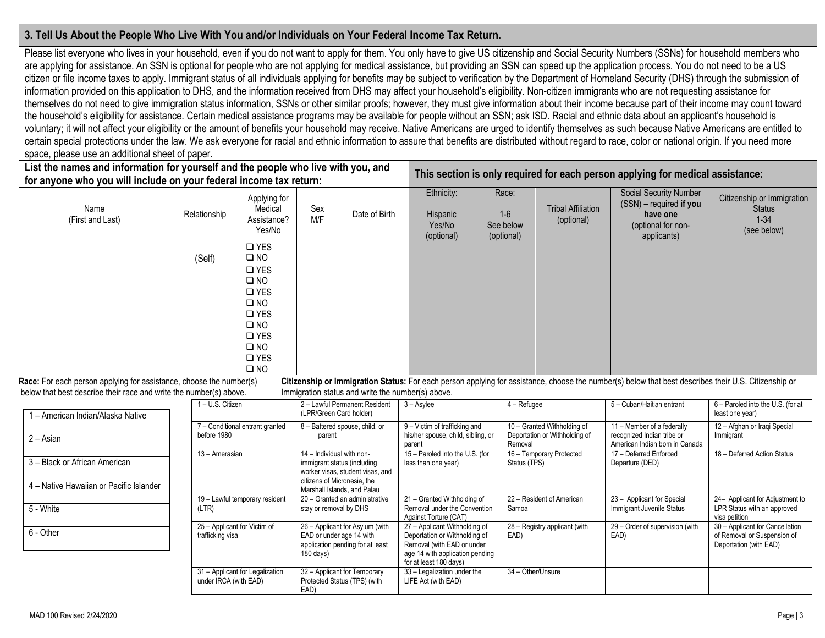## **3. Tell Us About the People Who Live With You and/or Individuals on Your Federal Income Tax Return.**

Please list everyone who lives in your household, even if you do not want to apply for them. You only have to give US citizenship and Social Security Numbers (SSNs) for household members who are applying for assistance. An SSN is optional for people who are not applying for medical assistance, but providing an SSN can speed up the application process. You do not need to be a US citizen or file income taxes to apply. Immigrant status of all individuals applying for benefits may be subject to verification by the Department of Homeland Security (DHS) through the submission of information provided on this application to DHS, and the information received from DHS may affect your household's eligibility. Non-citizen immigrants who are not requesting assistance for themselves do not need to give immigration status information, SSNs or other similar proofs; however, they must give information about their income because part of their income may count toward the household's eligibility for assistance. Certain medical assistance programs may be available for people without an SSN; ask ISD. Racial and ethnic data about an applicant's household is voluntary; it will not affect your eligibility or the amount of benefits your household may receive. Native Americans are urged to identify themselves as such because Native Americans are entitled to certain special protections under the law. We ask everyone for racial and ethnic information to assure that benefits are distributed without regard to race, color or national origin. If you need more space, please use an additional sheet of paper.

| List the names and information for yourself and the people who live with you, and<br>for anyone who you will include on your federal income tax return: |              |                                                  |            |               |                                                |                                           | This section is only required for each person applying for medical assistance: |                                                                                                    |                                                                        |
|---------------------------------------------------------------------------------------------------------------------------------------------------------|--------------|--------------------------------------------------|------------|---------------|------------------------------------------------|-------------------------------------------|--------------------------------------------------------------------------------|----------------------------------------------------------------------------------------------------|------------------------------------------------------------------------|
| Name<br>(First and Last)                                                                                                                                | Relationship | Applying for<br>Medical<br>Assistance?<br>Yes/No | Sex<br>M/F | Date of Birth | Ethnicity:<br>Hispanic<br>Yes/No<br>(optional) | Race:<br>$1-6$<br>See below<br>(optional) | <b>Tribal Affiliation</b><br>(optional)                                        | Social Security Number<br>(SSN) - required if you<br>have one<br>(optional for non-<br>applicants) | Citizenship or Immigration<br><b>Status</b><br>$1 - 34$<br>(see below) |
|                                                                                                                                                         | (Self)       | $\square$ YES<br>$\square$ NO                    |            |               |                                                |                                           |                                                                                |                                                                                                    |                                                                        |
|                                                                                                                                                         |              | $\Box$ YES<br>$\square$ NO                       |            |               |                                                |                                           |                                                                                |                                                                                                    |                                                                        |
|                                                                                                                                                         |              | $\Box$ YES<br>$\square$ NO                       |            |               |                                                |                                           |                                                                                |                                                                                                    |                                                                        |
|                                                                                                                                                         |              | $\square$ YES<br>$\square$ NO                    |            |               |                                                |                                           |                                                                                |                                                                                                    |                                                                        |
|                                                                                                                                                         |              | $\square$ YES<br>$\square$ NO                    |            |               |                                                |                                           |                                                                                |                                                                                                    |                                                                        |
|                                                                                                                                                         |              | $\Box$ YES<br>$\square$ NO                       |            |               |                                                |                                           |                                                                                |                                                                                                    |                                                                        |

Race: For each person applying for assistance, choose the number(s) Citizenship or Immigration Status: For each person applying for assistance, choose the number(s) below that best describes their U.S. Citizenship or below that best describe their race and write the number(s) above. Immigration status and write the number(s) above.

| - American Indian/Alaska Native                                          | I - U.S. Citizen                                         | 2 - Lawful Permanent Resident<br>(LPR/Green Card holder)                                                                    | $3 -$ Asylee                                                                                                                                              | $4 -$ Refugee                                                           | 5 - Cuban/Haitian entrant                                                                  | 6 - Paroled into the U.S. (for at<br>least one year)                                     |
|--------------------------------------------------------------------------|----------------------------------------------------------|-----------------------------------------------------------------------------------------------------------------------------|-----------------------------------------------------------------------------------------------------------------------------------------------------------|-------------------------------------------------------------------------|--------------------------------------------------------------------------------------------|------------------------------------------------------------------------------------------|
| 2 – Asian                                                                | 7 - Conditional entrant granted<br>before 1980           | 8 - Battered spouse, child, or<br>parent                                                                                    | 9 - Victim of trafficking and<br>his/her spouse, child, sibling, or<br>parent                                                                             | 10 - Granted Withholding of<br>Deportation or Withholding of<br>Removal | 11 - Member of a federally<br>recognized Indian tribe or<br>American Indian born in Canada | 12 - Afghan or Iragi Special<br>Immigrant                                                |
| 3 - Black or African American<br>4 – Native Hawaiian or Pacific Islander | 13 - Amerasian                                           | 14 - Individual with non-<br>immigrant status (including<br>worker visas, student visas, and<br>citizens of Micronesia, the | 15 - Paroled into the U.S. (for<br>less than one year)                                                                                                    | 16 - Temporary Protected<br>Status (TPS)                                | 17 - Deferred Enforced<br>Departure (DED)                                                  | 18 - Deferred Action Status                                                              |
| 5 - White                                                                | 19 - Lawful temporary resident<br>(LTR)                  | Marshall Islands, and Palau<br>20 - Granted an administrative<br>stay or removal by DHS                                     | 21 - Granted Withholding of<br>Removal under the Convention<br>Against Torture (CAT)                                                                      | 22 - Resident of American<br>Samoa                                      | 23 - Applicant for Special<br>Immigrant Juvenile Status                                    | 24- Applicant for Adjustment to<br>LPR Status with an approved<br>visa petition          |
| 6 - Other                                                                | 25 - Applicant for Victim of<br>trafficking visa         | 26 - Applicant for Asylum (with<br>EAD or under age 14 with<br>application pending for at least<br>$180$ days)              | 27 - Applicant Withholding of<br>Deportation or Withholding of<br>Removal (with EAD or under<br>age 14 with application pending<br>for at least 180 days) | 28 - Registry applicant (with<br>EAD)                                   | 29 - Order of supervision (with<br>EAD)                                                    | 30 - Applicant for Cancellation<br>of Removal or Suspension of<br>Deportation (with EAD) |
|                                                                          | 31 - Applicant for Legalization<br>under IRCA (with EAD) | 32 - Applicant for Temporary<br>Protected Status (TPS) (with<br>EAD)                                                        | 33 - Legalization under the<br>LIFE Act (with EAD)                                                                                                        | 34 - Other/Unsure                                                       |                                                                                            |                                                                                          |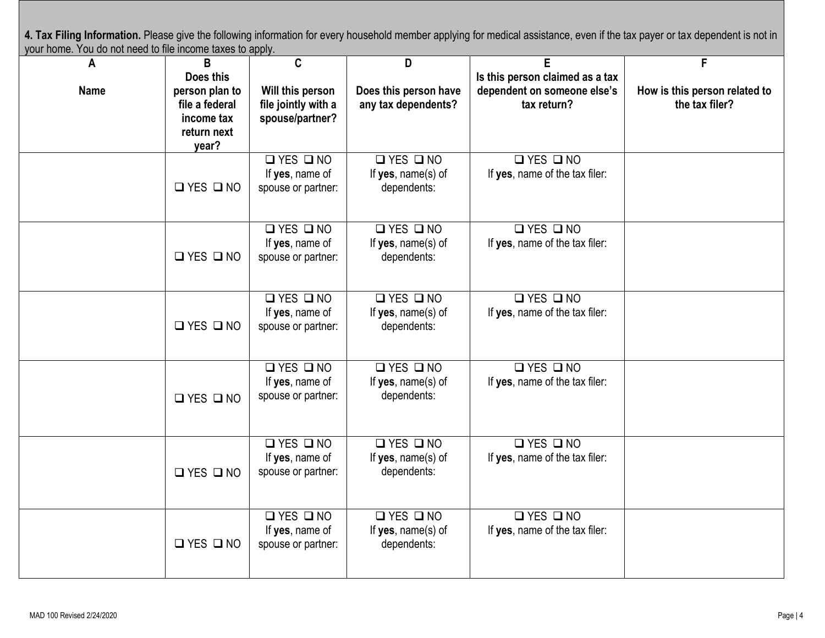4. Tax Filing Information. Please give the following information for every household member applying for medical assistance, even if the tax payer or tax dependent is not in your home. You do not need to file income taxes to apply.

| A           | <b>THE HIGHING WAYS IS UPPLY.</b><br>B | C                    | D                     | E                               | F                             |
|-------------|----------------------------------------|----------------------|-----------------------|---------------------------------|-------------------------------|
|             | Does this                              |                      |                       | Is this person claimed as a tax |                               |
| <b>Name</b> | person plan to                         | Will this person     | Does this person have | dependent on someone else's     | How is this person related to |
|             | file a federal                         | file jointly with a  | any tax dependents?   | tax return?                     | the tax filer?                |
|             | income tax                             | spouse/partner?      |                       |                                 |                               |
|             | return next                            |                      |                       |                                 |                               |
|             | year?                                  |                      |                       |                                 |                               |
|             |                                        | $\Box$ YES $\Box$ NO | $\Box$ YES $\Box$ NO  | $\Box$ YES $\Box$ NO            |                               |
|             |                                        | If yes, name of      | If yes, name(s) of    | If yes, name of the tax filer:  |                               |
|             | $\Box$ YES $\Box$ NO                   | spouse or partner:   | dependents:           |                                 |                               |
|             |                                        |                      |                       |                                 |                               |
|             |                                        |                      |                       |                                 |                               |
|             |                                        | QYESQNO              | QYESQN0               | QYESQNO                         |                               |
|             |                                        | If yes, name of      | If yes, name(s) of    | If yes, name of the tax filer:  |                               |
|             | $\Box$ YES $\Box$ NO                   | spouse or partner:   | dependents:           |                                 |                               |
|             |                                        |                      |                       |                                 |                               |
|             |                                        | $\Box$ YES $\Box$ NO | $\Box$ YES $\Box$ NO  | QYESQNO                         |                               |
|             |                                        | If yes, name of      | If $yes$ , name(s) of | If yes, name of the tax filer:  |                               |
|             | $\Box$ YES $\Box$ NO                   | spouse or partner:   | dependents:           |                                 |                               |
|             |                                        |                      |                       |                                 |                               |
|             |                                        |                      |                       |                                 |                               |
|             |                                        | $\Box$ YES $\Box$ NO | $\Box$ YES $\Box$ NO  | QYESQNO                         |                               |
|             |                                        | If yes, name of      | If yes, name(s) of    | If yes, name of the tax filer:  |                               |
|             | $\Box$ YES $\Box$ NO                   | spouse or partner:   | dependents:           |                                 |                               |
|             |                                        |                      |                       |                                 |                               |
|             |                                        |                      |                       |                                 |                               |
|             |                                        | QYESQN0              | QYESQNO               | QYESQNO                         |                               |
|             |                                        | If yes, name of      | If $yes$ , name(s) of | If yes, name of the tax filer:  |                               |
|             | $\Box$ YES $\Box$ NO                   | spouse or partner:   | dependents:           |                                 |                               |
|             |                                        |                      |                       |                                 |                               |
|             |                                        |                      |                       |                                 |                               |
|             |                                        | QYESQNO              | QYESQN0               | QYESQNO                         |                               |
|             |                                        | If yes, name of      | If $yes$ , name(s) of | If yes, name of the tax filer:  |                               |
|             | $\Box$ YES $\Box$ NO                   | spouse or partner:   | dependents:           |                                 |                               |
|             |                                        |                      |                       |                                 |                               |
|             |                                        |                      |                       |                                 |                               |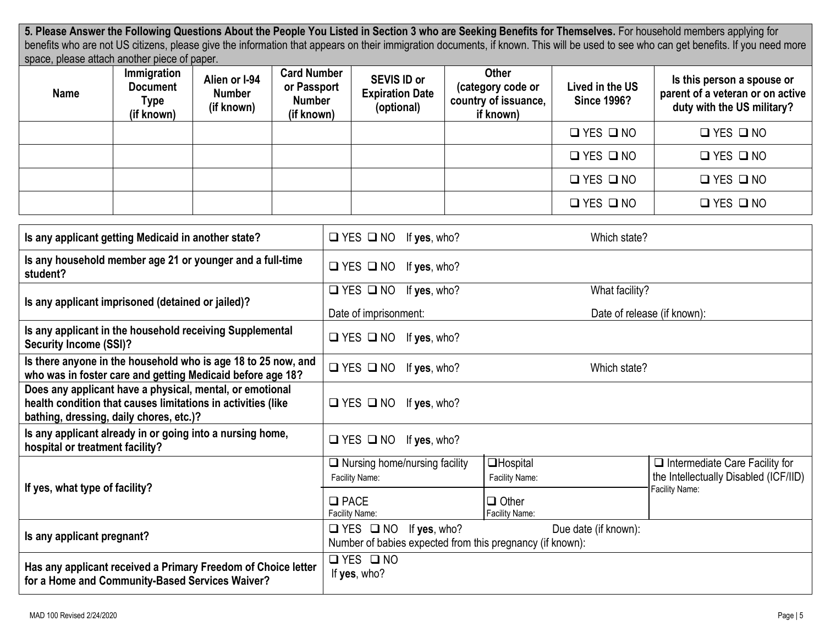**5. Please Answer the Following Questions About the People You Listed in Section 3 who are Seeking Benefits for Themselves.** For household members applying for benefits who are not US citizens, please give the information that appears on their immigration documents, if known. This will be used to see who can get benefits. If you need more space, please attach another piece of paper.

| . <b>.</b><br><b>Name</b> | Immigration<br><b>Document</b><br>Type<br>(if known) | Alien or I-94<br><b>Number</b><br>(if known) | <b>Card Number</b><br>or Passport<br><b>Number</b><br>(if known) | <b>SEVIS ID or</b><br><b>Expiration Date</b><br>(optional) | <b>Other</b><br>(category code or<br>country of issuance,<br>if known) | Lived in the US<br><b>Since 1996?</b> | Is this person a spouse or<br>parent of a veteran or on active<br>duty with the US military? |
|---------------------------|------------------------------------------------------|----------------------------------------------|------------------------------------------------------------------|------------------------------------------------------------|------------------------------------------------------------------------|---------------------------------------|----------------------------------------------------------------------------------------------|
|                           |                                                      |                                              |                                                                  |                                                            |                                                                        | $\Box$ YES $\Box$ NO                  | $\Box$ YES $\Box$ NO                                                                         |
|                           |                                                      |                                              |                                                                  |                                                            |                                                                        | $\Box$ YES $\Box$ NO                  | $\Box$ YES $\Box$ NO                                                                         |
|                           |                                                      |                                              |                                                                  |                                                            |                                                                        | $\Box$ YES $\Box$ NO                  | $\Box$ YES $\Box$ NO                                                                         |
|                           |                                                      |                                              |                                                                  |                                                            |                                                                        | $\Box$ YES $\Box$ NO                  | $\Box$ YES $\Box$ NO                                                                         |

| Is any applicant getting Medicaid in another state?                                                                                                                 | $\Box$ YES $\Box$ NO<br>If yes, who?                                                           | Which state?                        |                                                                                |
|---------------------------------------------------------------------------------------------------------------------------------------------------------------------|------------------------------------------------------------------------------------------------|-------------------------------------|--------------------------------------------------------------------------------|
| Is any household member age 21 or younger and a full-time<br>student?                                                                                               | $\square$ YES $\square$ NO<br>If yes, who?                                                     |                                     |                                                                                |
| Is any applicant imprisoned (detained or jailed)?                                                                                                                   | $\square$ YES $\square$ NO<br>If yes, who?                                                     | What facility?                      |                                                                                |
|                                                                                                                                                                     | Date of imprisonment:                                                                          |                                     | Date of release (if known):                                                    |
| Is any applicant in the household receiving Supplemental<br><b>Security Income (SSI)?</b>                                                                           | $\Box$ YES $\Box$ NO If yes, who?                                                              |                                     |                                                                                |
| Is there anyone in the household who is age 18 to 25 now, and<br>who was in foster care and getting Medicaid before age 18?                                         | $\Box$ YES $\Box$ NO<br>If yes, who?                                                           | Which state?                        |                                                                                |
| Does any applicant have a physical, mental, or emotional<br>health condition that causes limitations in activities (like<br>bathing, dressing, daily chores, etc.)? | $\Box$ YES $\Box$ NO If yes, who?                                                              |                                     |                                                                                |
| Is any applicant already in or going into a nursing home,<br>hospital or treatment facility?                                                                        | $\Box$ YES $\Box$ NO<br>If yes, who?                                                           |                                     |                                                                                |
| If yes, what type of facility?                                                                                                                                      | $\Box$ Nursing home/nursing facility<br>Facility Name:                                         | <b>O</b> Hospital<br>Facility Name: | $\Box$ Intermediate Care Facility for<br>the Intellectually Disabled (ICF/IID) |
|                                                                                                                                                                     | $\Box$ PACE<br>Facility Name:                                                                  | $\Box$ Other<br>Facility Name:      | Facility Name:                                                                 |
| Is any applicant pregnant?                                                                                                                                          | $\Box$ YES $\Box$ NO If yes, who?<br>Number of babies expected from this pregnancy (if known): | Due date (if known):                |                                                                                |
| Has any applicant received a Primary Freedom of Choice letter<br>for a Home and Community-Based Services Waiver?                                                    | $\Box$ YES $\Box$ NO<br>If yes, who?                                                           |                                     |                                                                                |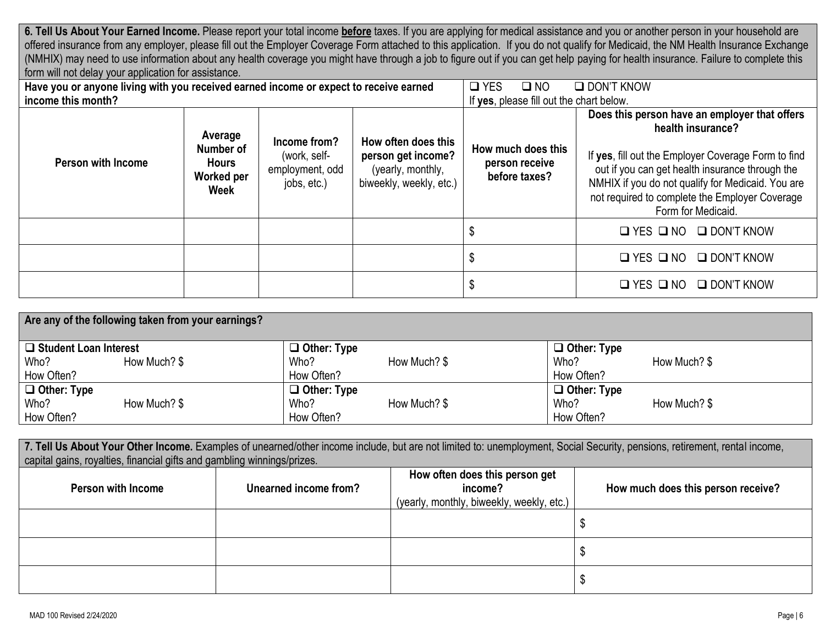**6. Tell Us About Your Earned Income.** Please report your total income **before** taxes. If you are applying for medical assistance and you or another person in your household are offered insurance from any employer, please fill out the Employer Coverage Form attached to this application. If you do not qualify for Medicaid, the NM Health Insurance Exchange (NMHIX) may need to use information about any health coverage you might have through a job to figure out if you can get help paying for health insurance. Failure to complete this form will not delay your application for assistance.

| Have you or anyone living with you received earned income or expect to receive earned |                                                                   |                                                                | $\Box$ YES<br>$\square$ NO                                                                | $\Box$ DON'T KNOW                                     |                                                                                                                                                                                                                                                                                                           |
|---------------------------------------------------------------------------------------|-------------------------------------------------------------------|----------------------------------------------------------------|-------------------------------------------------------------------------------------------|-------------------------------------------------------|-----------------------------------------------------------------------------------------------------------------------------------------------------------------------------------------------------------------------------------------------------------------------------------------------------------|
| income this month?                                                                    |                                                                   |                                                                | If yes, please fill out the chart below.                                                  |                                                       |                                                                                                                                                                                                                                                                                                           |
| <b>Person with Income</b>                                                             | Average<br>Number of<br><b>Hours</b><br>Worked per<br><b>Week</b> | Income from?<br>(work, self-<br>employment, odd<br>jobs, etc.) | How often does this<br>person get income?<br>(yearly, monthly,<br>biweekly, weekly, etc.) | How much does this<br>person receive<br>before taxes? | Does this person have an employer that offers<br>health insurance?<br>If yes, fill out the Employer Coverage Form to find<br>out if you can get health insurance through the<br>NMHIX if you do not qualify for Medicaid. You are<br>not required to complete the Employer Coverage<br>Form for Medicaid. |
|                                                                                       |                                                                   |                                                                |                                                                                           | \$                                                    | $\Box$ YES $\Box$ NO<br>$\Box$ DON'T KNOW                                                                                                                                                                                                                                                                 |
|                                                                                       |                                                                   |                                                                |                                                                                           | \$                                                    | $\Box$ YES $\Box$ NO<br>$\Box$ DON'T KNOW                                                                                                                                                                                                                                                                 |
|                                                                                       |                                                                   |                                                                |                                                                                           | \$                                                    | $\Box$ YES $\Box$ NO<br>$\Box$ DON'T KNOW                                                                                                                                                                                                                                                                 |

| Are any of the following taken from your earnings? |              |                    |              |                    |              |  |  |  |
|----------------------------------------------------|--------------|--------------------|--------------|--------------------|--------------|--|--|--|
| $\Box$ Student Loan Interest                       |              | $\Box$ Other: Type |              | $\Box$ Other: Type |              |  |  |  |
| Who?                                               | How Much? \$ | Who?               | How Much? \$ | Who?               | How Much? \$ |  |  |  |
| How Often?                                         |              | How Often?         |              | How Often?         |              |  |  |  |
| $\Box$ Other: Type                                 |              | $\Box$ Other: Type |              | $\Box$ Other: Type |              |  |  |  |
| Who?                                               | How Much? \$ | Who?               | How Much? \$ | Who?               | How Much? \$ |  |  |  |
| How Often?                                         |              | How Often?         |              | How Often?         |              |  |  |  |

| 7. Tell Us About Your Other Income. Examples of unearned/other income include, but are not limited to: unemployment, Social Security, pensions, retirement, rental income,<br>capital gains, royalties, financial gifts and gambling winnings/prizes. |                       |                                                                                        |                                    |  |  |  |  |  |
|-------------------------------------------------------------------------------------------------------------------------------------------------------------------------------------------------------------------------------------------------------|-----------------------|----------------------------------------------------------------------------------------|------------------------------------|--|--|--|--|--|
| <b>Person with Income</b>                                                                                                                                                                                                                             | Unearned income from? | How often does this person get<br>income?<br>(yearly, monthly, biweekly, weekly, etc.) | How much does this person receive? |  |  |  |  |  |
|                                                                                                                                                                                                                                                       |                       |                                                                                        |                                    |  |  |  |  |  |
|                                                                                                                                                                                                                                                       |                       |                                                                                        |                                    |  |  |  |  |  |
|                                                                                                                                                                                                                                                       |                       |                                                                                        |                                    |  |  |  |  |  |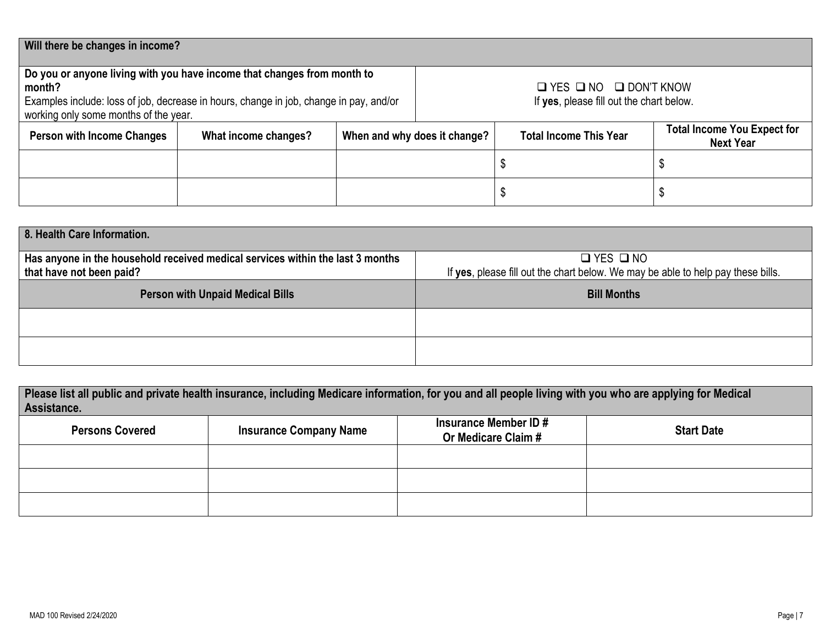| Will there be changes in income?                                                                                                                                                                                     |                      |                              |  |                                                                                    |                                                        |  |  |  |
|----------------------------------------------------------------------------------------------------------------------------------------------------------------------------------------------------------------------|----------------------|------------------------------|--|------------------------------------------------------------------------------------|--------------------------------------------------------|--|--|--|
| Do you or anyone living with you have income that changes from month to<br>month?<br>Examples include: loss of job, decrease in hours, change in job, change in pay, and/or<br>working only some months of the year. |                      |                              |  | $\Box$ YES $\Box$ NO $\Box$ DON'T KNOW<br>If yes, please fill out the chart below. |                                                        |  |  |  |
| <b>Person with Income Changes</b>                                                                                                                                                                                    | What income changes? | When and why does it change? |  | <b>Total Income This Year</b>                                                      | <b>Total Income You Expect for</b><br><b>Next Year</b> |  |  |  |
|                                                                                                                                                                                                                      |                      |                              |  |                                                                                    |                                                        |  |  |  |
|                                                                                                                                                                                                                      |                      |                              |  |                                                                                    |                                                        |  |  |  |

| 8. Health Care Information.                                                                                |                                                                                                          |
|------------------------------------------------------------------------------------------------------------|----------------------------------------------------------------------------------------------------------|
| Has anyone in the household received medical services within the last 3 months<br>that have not been paid? | $\Box$ YES $\Box$ NO<br>If yes, please fill out the chart below. We may be able to help pay these bills. |
| <b>Person with Unpaid Medical Bills</b>                                                                    | <b>Bill Months</b>                                                                                       |
|                                                                                                            |                                                                                                          |
|                                                                                                            |                                                                                                          |

| Please list all public and private health insurance, including Medicare information, for you and all people living with you who are applying for Medical<br>Assistance. |                               |                                              |                   |  |  |  |  |  |
|-------------------------------------------------------------------------------------------------------------------------------------------------------------------------|-------------------------------|----------------------------------------------|-------------------|--|--|--|--|--|
| <b>Persons Covered</b>                                                                                                                                                  | <b>Insurance Company Name</b> | Insurance Member ID #<br>Or Medicare Claim # | <b>Start Date</b> |  |  |  |  |  |
|                                                                                                                                                                         |                               |                                              |                   |  |  |  |  |  |
|                                                                                                                                                                         |                               |                                              |                   |  |  |  |  |  |
|                                                                                                                                                                         |                               |                                              |                   |  |  |  |  |  |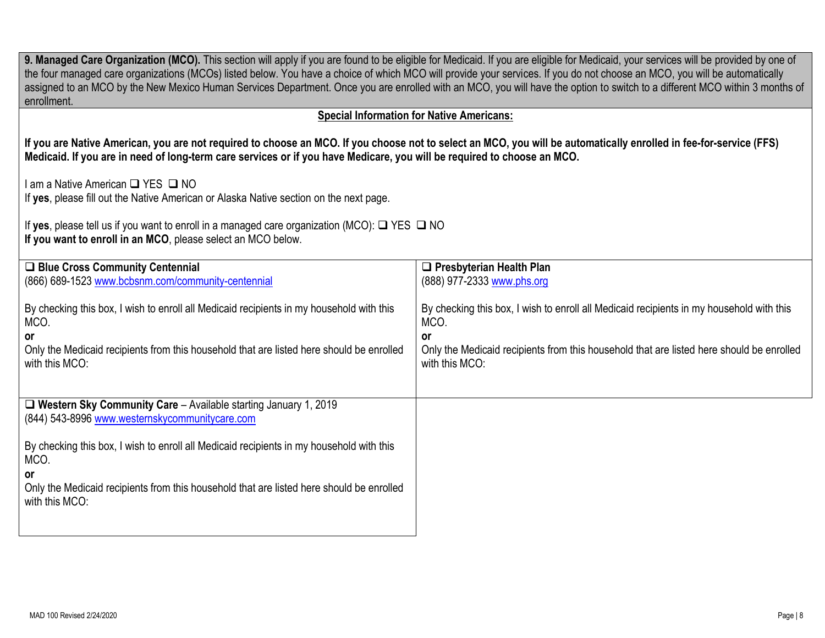| 9. Managed Care Organization (MCO). This section will apply if you are found to be eligible for Medicaid. If you are eligible for Medicaid, your services will be provided by one of<br>the four managed care organizations (MCOs) listed below. You have a choice of which MCO will provide your services. If you do not choose an MCO, you will be automatically<br>assigned to an MCO by the New Mexico Human Services Department. Once you are enrolled with an MCO, you will have the option to switch to a different MCO within 3 months of<br>enrollment. |                                                                                                                  |  |  |  |  |
|------------------------------------------------------------------------------------------------------------------------------------------------------------------------------------------------------------------------------------------------------------------------------------------------------------------------------------------------------------------------------------------------------------------------------------------------------------------------------------------------------------------------------------------------------------------|------------------------------------------------------------------------------------------------------------------|--|--|--|--|
| <b>Special Information for Native Americans:</b>                                                                                                                                                                                                                                                                                                                                                                                                                                                                                                                 |                                                                                                                  |  |  |  |  |
| If you are Native American, you are not required to choose an MCO. If you choose not to select an MCO, you will be automatically enrolled in fee-for-service (FFS)<br>Medicaid. If you are in need of long-term care services or if you have Medicare, you will be required to choose an MCO.                                                                                                                                                                                                                                                                    |                                                                                                                  |  |  |  |  |
| I am a Native American □ YES □ NO<br>If yes, please fill out the Native American or Alaska Native section on the next page.                                                                                                                                                                                                                                                                                                                                                                                                                                      |                                                                                                                  |  |  |  |  |
| If yes, please tell us if you want to enroll in a managed care organization (MCO): $\Box$ YES $\Box$ NO<br>If you want to enroll in an MCO, please select an MCO below.                                                                                                                                                                                                                                                                                                                                                                                          |                                                                                                                  |  |  |  |  |
| □ Blue Cross Community Centennial<br>(866) 689-1523 www.bcbsnm.com/community-centennial                                                                                                                                                                                                                                                                                                                                                                                                                                                                          | $\Box$ Presbyterian Health Plan<br>(888) 977-2333 www.phs.org                                                    |  |  |  |  |
| By checking this box, I wish to enroll all Medicaid recipients in my household with this<br>MCO.                                                                                                                                                                                                                                                                                                                                                                                                                                                                 | By checking this box, I wish to enroll all Medicaid recipients in my household with this<br>MCO.                 |  |  |  |  |
| or<br>Only the Medicaid recipients from this household that are listed here should be enrolled<br>with this MCO:                                                                                                                                                                                                                                                                                                                                                                                                                                                 | or<br>Only the Medicaid recipients from this household that are listed here should be enrolled<br>with this MCO: |  |  |  |  |
| $\Box$ Western Sky Community Care - Available starting January 1, 2019<br>(844) 543-8996 www.westernskycommunitycare.com                                                                                                                                                                                                                                                                                                                                                                                                                                         |                                                                                                                  |  |  |  |  |
| By checking this box, I wish to enroll all Medicaid recipients in my household with this<br>MCO.                                                                                                                                                                                                                                                                                                                                                                                                                                                                 |                                                                                                                  |  |  |  |  |
| ٥r<br>Only the Medicaid recipients from this household that are listed here should be enrolled<br>with this MCO:                                                                                                                                                                                                                                                                                                                                                                                                                                                 |                                                                                                                  |  |  |  |  |
|                                                                                                                                                                                                                                                                                                                                                                                                                                                                                                                                                                  |                                                                                                                  |  |  |  |  |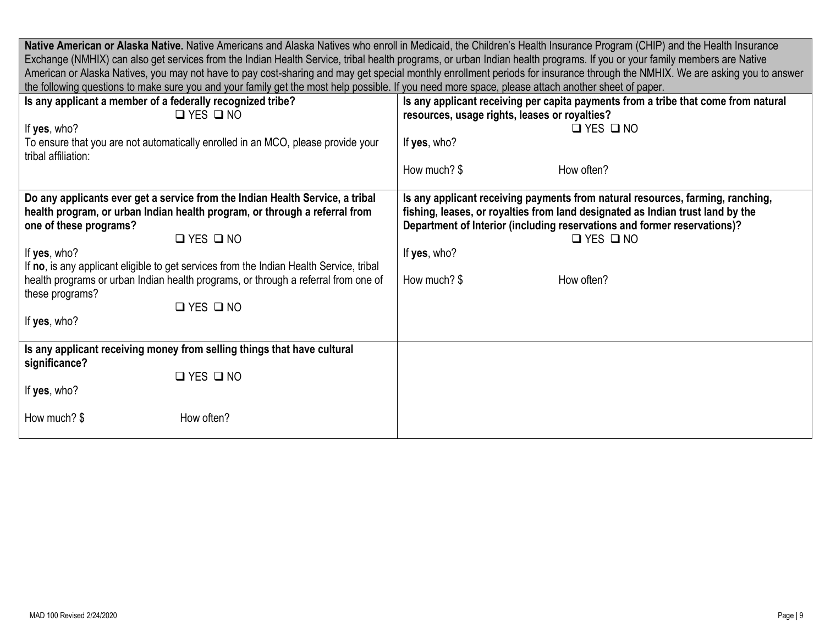|                                                                                                                                                                                                                                                                                                                                                                                                                                                                           | Native American or Alaska Native. Native Americans and Alaska Natives who enroll in Medicaid, the Children's Health Insurance Program (CHIP) and the Health Insurance<br>Exchange (NMHIX) can also get services from the Indian Health Service, tribal health programs, or urban Indian health programs. If you or your family members are Native<br>American or Alaska Natives, you may not have to pay cost-sharing and may get special monthly enrollment periods for insurance through the NMHIX. We are asking you to answer |  |  |  |  |  |
|---------------------------------------------------------------------------------------------------------------------------------------------------------------------------------------------------------------------------------------------------------------------------------------------------------------------------------------------------------------------------------------------------------------------------------------------------------------------------|-----------------------------------------------------------------------------------------------------------------------------------------------------------------------------------------------------------------------------------------------------------------------------------------------------------------------------------------------------------------------------------------------------------------------------------------------------------------------------------------------------------------------------------|--|--|--|--|--|
| the following questions to make sure you and your family get the most help possible. If you need more space, please attach another sheet of paper.                                                                                                                                                                                                                                                                                                                        |                                                                                                                                                                                                                                                                                                                                                                                                                                                                                                                                   |  |  |  |  |  |
| Is any applicant a member of a federally recognized tribe?<br>$\Box$ YES $\Box$ NO                                                                                                                                                                                                                                                                                                                                                                                        | Is any applicant receiving per capita payments from a tribe that come from natural<br>resources, usage rights, leases or royalties?                                                                                                                                                                                                                                                                                                                                                                                               |  |  |  |  |  |
| If yes, who?                                                                                                                                                                                                                                                                                                                                                                                                                                                              | $\Box$ YES $\Box$ NO                                                                                                                                                                                                                                                                                                                                                                                                                                                                                                              |  |  |  |  |  |
| To ensure that you are not automatically enrolled in an MCO, please provide your<br>tribal affiliation:                                                                                                                                                                                                                                                                                                                                                                   | If yes, who?                                                                                                                                                                                                                                                                                                                                                                                                                                                                                                                      |  |  |  |  |  |
|                                                                                                                                                                                                                                                                                                                                                                                                                                                                           | How much? \$<br>How often?                                                                                                                                                                                                                                                                                                                                                                                                                                                                                                        |  |  |  |  |  |
| Do any applicants ever get a service from the Indian Health Service, a tribal<br>health program, or urban Indian health program, or through a referral from<br>one of these programs?<br>$\Box$ YES $\Box$ NO<br>If yes, who?<br>If no, is any applicant eligible to get services from the Indian Health Service, tribal<br>health programs or urban Indian health programs, or through a referral from one of<br>these programs?<br>$\Box$ YES $\Box$ NO<br>If yes, who? | Is any applicant receiving payments from natural resources, farming, ranching,<br>fishing, leases, or royalties from land designated as Indian trust land by the<br>Department of Interior (including reservations and former reservations)?<br>$\Box$ YES $\Box$ NO<br>If yes, who?<br>How much? \$<br>How often?                                                                                                                                                                                                                |  |  |  |  |  |
| Is any applicant receiving money from selling things that have cultural<br>significance?<br>$\Box$ YES $\Box$ NO<br>If yes, who?                                                                                                                                                                                                                                                                                                                                          |                                                                                                                                                                                                                                                                                                                                                                                                                                                                                                                                   |  |  |  |  |  |
| How often?<br>How much? \$                                                                                                                                                                                                                                                                                                                                                                                                                                                |                                                                                                                                                                                                                                                                                                                                                                                                                                                                                                                                   |  |  |  |  |  |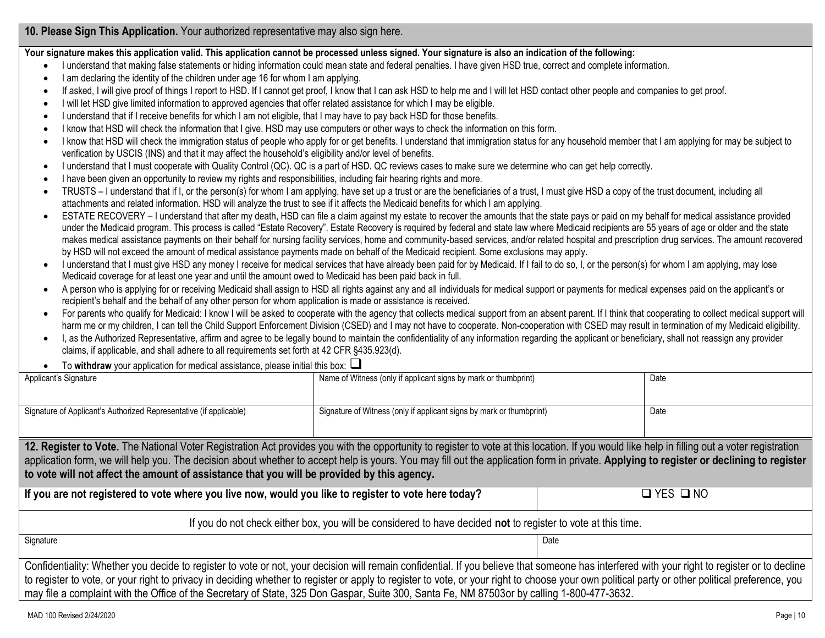**10. Please Sign This Application.** Your authorized representative may also sign here.

**Your signature makes this application valid. This application cannot be processed unless signed. Your signature is also an indication of the following:**

- I understand that making false statements or hiding information could mean state and federal penalties. I have given HSD true, correct and complete information.
- I am declaring the identity of the children under age 16 for whom I am applying.
- If asked, I will give proof of things I report to HSD. If I cannot get proof, I know that I can ask HSD to help me and I will let HSD contact other people and companies to get proof.
- I will let HSD give limited information to approved agencies that offer related assistance for which I may be eligible.
- I understand that if I receive benefits for which I am not eligible, that I may have to pay back HSD for those benefits.
- I know that HSD will check the information that I give. HSD may use computers or other ways to check the information on this form.
- I know that HSD will check the immigration status of people who apply for or get benefits. I understand that immigration status for any household member that I am applying for may be subject to verification by USCIS (INS) and that it may affect the household's eligibility and/or level of benefits.
- I understand that I must cooperate with Quality Control (QC). QC is a part of HSD. QC reviews cases to make sure we determine who can get help correctly.
- I have been given an opportunity to review my rights and responsibilities, including fair hearing rights and more.
- TRUSTS I understand that if I, or the person(s) for whom I am applying, have set up a trust or are the beneficiaries of a trust, I must give HSD a copy of the trust document, including all attachments and related information. HSD will analyze the trust to see if it affects the Medicaid benefits for which I am applying.
- ESTATE RECOVERY I understand that after my death, HSD can file a claim against my estate to recover the amounts that the state pays or paid on my behalf for medical assistance provided under the Medicaid program. This process is called "Estate Recovery". Estate Recovery is required by federal and state law where Medicaid recipients are 55 years of age or older and the state makes medical assistance payments on their behalf for nursing facility services, home and community-based services, and/or related hospital and prescription drug services. The amount recovered by HSD will not exceed the amount of medical assistance payments made on behalf of the Medicaid recipient. Some exclusions may apply.
- I understand that I must give HSD any money I receive for medical services that have already been paid for by Medicaid. If I fail to do so, I, or the person(s) for whom I am applying, may lose Medicaid coverage for at least one year and until the amount owed to Medicaid has been paid back in full.
- A person who is applying for or receiving Medicaid shall assign to HSD all rights against any and all individuals for medical support or payments for medical expenses paid on the applicant's or recipient's behalf and the behalf of any other person for whom application is made or assistance is received.
- For parents who qualify for Medicaid: I know I will be asked to cooperate with the agency that collects medical support from an absent parent. If I think that cooperating to collect medical support will harm me or my children, I can tell the Child Support Enforcement Division (CSED) and I may not have to cooperate. Non-cooperation with CSED may result in termination of my Medicaid eligibility.
- I, as the Authorized Representative, affirm and agree to be legally bound to maintain the confidentiality of any information regarding the applicant or beneficiary, shall not reassign any provider claims, if applicable, and shall adhere to all requirements set forth at 42 CFR §435.923(d).
- To **withdraw** your application for medical assistance, please initial this box: ❑

| Applicant's Signature                                                                                                                                                                           | Name of Witness (only if applicant signs by mark or thumbprint)      |  | Date |  |  |
|-------------------------------------------------------------------------------------------------------------------------------------------------------------------------------------------------|----------------------------------------------------------------------|--|------|--|--|
|                                                                                                                                                                                                 |                                                                      |  |      |  |  |
|                                                                                                                                                                                                 |                                                                      |  |      |  |  |
| Signature of Applicant's Authorized Representative (if applicable)                                                                                                                              | Signature of Witness (only if applicant signs by mark or thumbprint) |  | Date |  |  |
|                                                                                                                                                                                                 |                                                                      |  |      |  |  |
| 12. Register to Vote. The National Voter Registration Act provides you with the opportunity to register to vote at this location. If you would like help in filling out a voter registration    |                                                                      |  |      |  |  |
| application form, we will help you. The decision about whether to accept help is yours. You may fill out the application form in private. Applying to register or declining to register         |                                                                      |  |      |  |  |
| to vote will not affect the amount of assistance that you will be provided by this agency.                                                                                                      |                                                                      |  |      |  |  |
|                                                                                                                                                                                                 |                                                                      |  |      |  |  |
| If you are not registered to vote where you live now, would you like to register to vote here today?                                                                                            | $\square$ YES $\square$ NO                                           |  |      |  |  |
|                                                                                                                                                                                                 |                                                                      |  |      |  |  |
| If you do not check either box, you will be considered to have decided not to register to vote at this time.                                                                                    |                                                                      |  |      |  |  |
| Signature<br>Date                                                                                                                                                                               |                                                                      |  |      |  |  |
|                                                                                                                                                                                                 |                                                                      |  |      |  |  |
| Confidentiality: Whether you decide to register to vote or not, your decision will remain confidential. If you believe that someone has interfered with your right to register or to decline    |                                                                      |  |      |  |  |
| to register to vote, or your right to privacy in deciding whether to register or apply to register to vote, or your right to choose your own political party or other political preference, you |                                                                      |  |      |  |  |
| may file a complaint with the Office of the Secretary of State, 325 Don Gaspar, Suite 300, Santa Fe, NM 87503or by calling 1-800-477-3632.                                                      |                                                                      |  |      |  |  |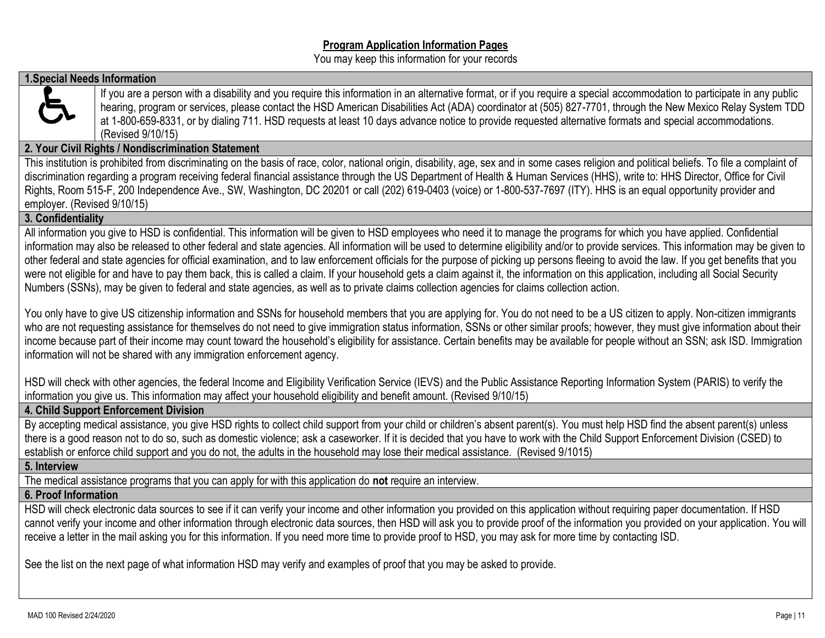#### **Program Application Information Pages**

You may keep this information for your records

## **1.Special Needs Information**



If you are a person with a disability and you require this information in an alternative format, or if you require a special accommodation to participate in any public hearing, program or services, please contact the HSD American Disabilities Act (ADA) coordinator at (505) 827-7701, through the New Mexico Relay System TDD at 1-800-659-8331, or by dialing 711. HSD requests at least 10 days advance notice to provide requested alternative formats and special accommodations. (Revised 9/10/15)

# **2. Your Civil Rights / Nondiscrimination Statement**

This institution is prohibited from discriminating on the basis of race, color, national origin, disability, age, sex and in some cases religion and political beliefs. To file a complaint of discrimination regarding a program receiving federal financial assistance through the US Department of Health & Human Services (HHS), write to: HHS Director, Office for Civil Rights, Room 515-F, 200 Independence Ave., SW, Washington, DC 20201 or call (202) 619-0403 (voice) or 1-800-537-7697 (ITY). HHS is an equal opportunity provider and employer. (Revised 9/10/15)

## **3. Confidentiality**

All information you give to HSD is confidential. This information will be given to HSD employees who need it to manage the programs for which you have applied. Confidential information may also be released to other federal and state agencies. All information will be used to determine eligibility and/or to provide services. This information may be given to other federal and state agencies for official examination, and to law enforcement officials for the purpose of picking up persons fleeing to avoid the law. If you get benefits that you were not eligible for and have to pay them back, this is called a claim. If your household gets a claim against it, the information on this application, including all Social Security Numbers (SSNs), may be given to federal and state agencies, as well as to private claims collection agencies for claims collection action.

You only have to give US citizenship information and SSNs for household members that you are applying for. You do not need to be a US citizen to apply. Non-citizen immigrants who are not requesting assistance for themselves do not need to give immigration status information, SSNs or other similar proofs; however, they must give information about their income because part of their income may count toward the household's eligibility for assistance. Certain benefits may be available for people without an SSN; ask ISD. Immigration information will not be shared with any immigration enforcement agency.

HSD will check with other agencies, the federal Income and Eligibility Verification Service (IEVS) and the Public Assistance Reporting Information System (PARIS) to verify the information you give us. This information may affect your household eligibility and benefit amount. (Revised 9/10/15)

# **4. Child Support Enforcement Division**

By accepting medical assistance, you give HSD rights to collect child support from your child or children's absent parent(s). You must help HSD find the absent parent(s) unless there is a good reason not to do so, such as domestic violence; ask a caseworker. If it is decided that you have to work with the Child Support Enforcement Division (CSED) to establish or enforce child support and you do not, the adults in the household may lose their medical assistance. (Revised 9/1015)

#### **5. Interview**

The medical assistance programs that you can apply for with this application do **not** require an interview.

#### **6. Proof Information**

HSD will check electronic data sources to see if it can verify your income and other information you provided on this application without requiring paper documentation. If HSD cannot verify your income and other information through electronic data sources, then HSD will ask you to provide proof of the information you provided on your application. You will receive a letter in the mail asking you for this information. If you need more time to provide proof to HSD, you may ask for more time by contacting ISD.

See the list on the next page of what information HSD may verify and examples of proof that you may be asked to provide.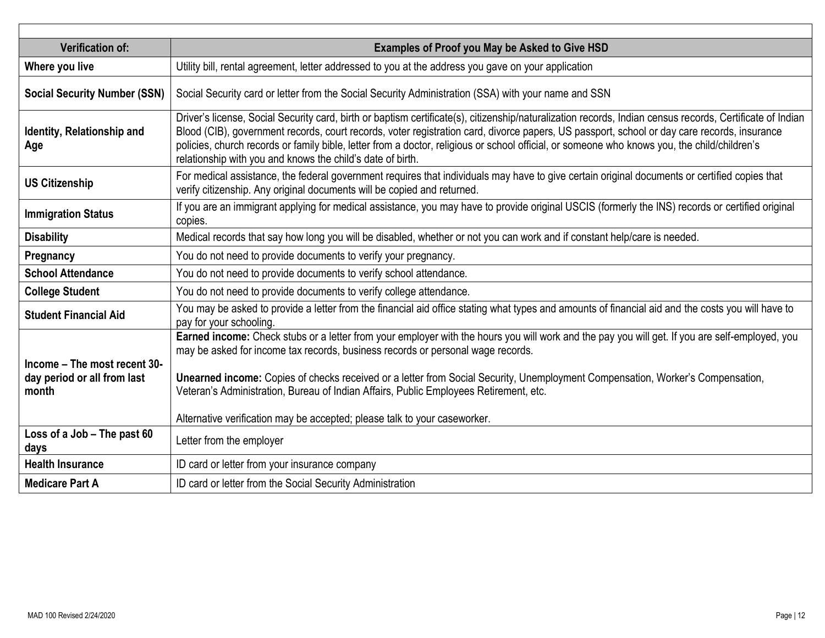| <b>Verification of:</b>                                              | <b>Examples of Proof you May be Asked to Give HSD</b>                                                                                                                                                                                                                                                                                                                                                                                                                                                                                     |
|----------------------------------------------------------------------|-------------------------------------------------------------------------------------------------------------------------------------------------------------------------------------------------------------------------------------------------------------------------------------------------------------------------------------------------------------------------------------------------------------------------------------------------------------------------------------------------------------------------------------------|
| Where you live                                                       | Utility bill, rental agreement, letter addressed to you at the address you gave on your application                                                                                                                                                                                                                                                                                                                                                                                                                                       |
| <b>Social Security Number (SSN)</b>                                  | Social Security card or letter from the Social Security Administration (SSA) with your name and SSN                                                                                                                                                                                                                                                                                                                                                                                                                                       |
| Identity, Relationship and<br>Age                                    | Driver's license, Social Security card, birth or baptism certificate(s), citizenship/naturalization records, Indian census records, Certificate of Indian<br>Blood (CIB), government records, court records, voter registration card, divorce papers, US passport, school or day care records, insurance<br>policies, church records or family bible, letter from a doctor, religious or school official, or someone who knows you, the child/children's<br>relationship with you and knows the child's date of birth.                    |
| <b>US Citizenship</b>                                                | For medical assistance, the federal government requires that individuals may have to give certain original documents or certified copies that<br>verify citizenship. Any original documents will be copied and returned.                                                                                                                                                                                                                                                                                                                  |
| <b>Immigration Status</b>                                            | If you are an immigrant applying for medical assistance, you may have to provide original USCIS (formerly the INS) records or certified original<br>copies.                                                                                                                                                                                                                                                                                                                                                                               |
| <b>Disability</b>                                                    | Medical records that say how long you will be disabled, whether or not you can work and if constant help/care is needed.                                                                                                                                                                                                                                                                                                                                                                                                                  |
| Pregnancy                                                            | You do not need to provide documents to verify your pregnancy.                                                                                                                                                                                                                                                                                                                                                                                                                                                                            |
| <b>School Attendance</b>                                             | You do not need to provide documents to verify school attendance.                                                                                                                                                                                                                                                                                                                                                                                                                                                                         |
| <b>College Student</b>                                               | You do not need to provide documents to verify college attendance.                                                                                                                                                                                                                                                                                                                                                                                                                                                                        |
| <b>Student Financial Aid</b>                                         | You may be asked to provide a letter from the financial aid office stating what types and amounts of financial aid and the costs you will have to<br>pay for your schooling.                                                                                                                                                                                                                                                                                                                                                              |
| Income - The most recent 30-<br>day period or all from last<br>month | Earned income: Check stubs or a letter from your employer with the hours you will work and the pay you will get. If you are self-employed, you<br>may be asked for income tax records, business records or personal wage records.<br>Unearned income: Copies of checks received or a letter from Social Security, Unemployment Compensation, Worker's Compensation,<br>Veteran's Administration, Bureau of Indian Affairs, Public Employees Retirement, etc.<br>Alternative verification may be accepted; please talk to your caseworker. |
| Loss of a Job - The past 60<br>days                                  | Letter from the employer                                                                                                                                                                                                                                                                                                                                                                                                                                                                                                                  |
| <b>Health Insurance</b>                                              | ID card or letter from your insurance company                                                                                                                                                                                                                                                                                                                                                                                                                                                                                             |
| <b>Medicare Part A</b>                                               | ID card or letter from the Social Security Administration                                                                                                                                                                                                                                                                                                                                                                                                                                                                                 |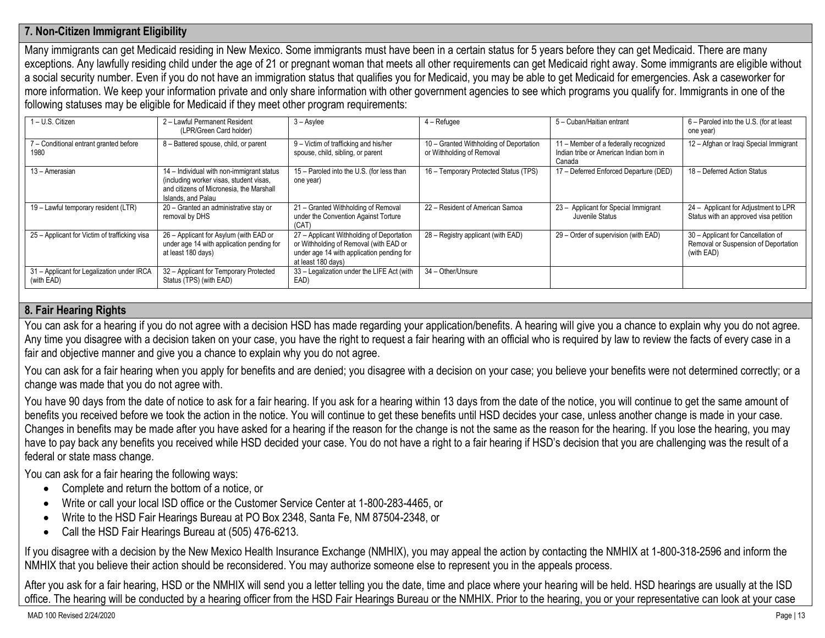# **7. Non-Citizen Immigrant Eligibility**

Many immigrants can get Medicaid residing in New Mexico. Some immigrants must have been in a certain status for 5 years before they can get Medicaid. There are many exceptions. Any lawfully residing child under the age of 21 or pregnant woman that meets all other requirements can get Medicaid right away. Some immigrants are eligible without a social security number. Even if you do not have an immigration status that qualifies you for Medicaid, you may be able to get Medicaid for emergencies. Ask a caseworker for more information. We keep your information private and only share information with other government agencies to see which programs you qualify for. Immigrants in one of the following statuses may be eligible for Medicaid if they meet other program requirements:

| 1-U.S. Citizen                                           | 2 - Lawful Permanent Resident<br>(LPR/Green Card holder)                                                                                               | $3 -$ Asylee                                                                                                                                           | $4 -$ Refugee                                                        | 5 - Cuban/Haitian entrant                                                                  | 6 - Paroled into the U.S. (for at least<br>one year)                                     |
|----------------------------------------------------------|--------------------------------------------------------------------------------------------------------------------------------------------------------|--------------------------------------------------------------------------------------------------------------------------------------------------------|----------------------------------------------------------------------|--------------------------------------------------------------------------------------------|------------------------------------------------------------------------------------------|
| 7 - Conditional entrant granted before<br>1980           | 8 - Battered spouse, child, or parent                                                                                                                  | 9 - Victim of trafficking and his/her<br>spouse, child, sibling, or parent                                                                             | 10 - Granted Withholding of Deportation<br>or Withholding of Removal | 11 - Member of a federally recognized<br>Indian tribe or American Indian born in<br>Canada | 12 - Afghan or Iraqi Special Immigrant                                                   |
| 13 - Amerasian                                           | 14 - Individual with non-immigrant status<br>(including worker visas, student visas,<br>and citizens of Micronesia, the Marshall<br>Islands, and Palau | 15 - Paroled into the U.S. (for less than<br>one year)                                                                                                 | 16 - Temporary Protected Status (TPS)                                | 17 - Deferred Enforced Departure (DED)                                                     | 18 - Deferred Action Status                                                              |
| 19 - Lawful temporary resident (LTR)                     | 20 - Granted an administrative stay or<br>removal by DHS                                                                                               | 21 - Granted Withholding of Removal<br>under the Convention Against Torture<br>(CAT)                                                                   | 22 - Resident of American Samoa                                      | 23 - Applicant for Special Immigrant<br>Juvenile Status                                    | 24 - Applicant for Adjustment to LPR<br>Status with an approved visa petition            |
| 25 – Applicant for Victim of trafficking visa            | 26 - Applicant for Asylum (with EAD or<br>under age 14 with application pending for<br>at least 180 days)                                              | 27 - Applicant Withholding of Deportation<br>or Withholding of Removal (with EAD or<br>under age 14 with application pending for<br>at least 180 days) | 28 - Registry applicant (with EAD)                                   | 29 – Order of supervision (with EAD)                                                       | 30 - Applicant for Cancellation of<br>Removal or Suspension of Deportation<br>(with EAD) |
| 31 - Applicant for Legalization under IRCA<br>(with EAD) | 32 - Applicant for Temporary Protected<br>Status (TPS) (with EAD)                                                                                      | 33 - Legalization under the LIFE Act (with<br>EAD)                                                                                                     | 34 - Other/Unsure                                                    |                                                                                            |                                                                                          |

## **8. Fair Hearing Rights**

You can ask for a hearing if you do not agree with a decision HSD has made regarding your application/benefits. A hearing will give you a chance to explain why you do not agree. Any time you disagree with a decision taken on your case, you have the right to request a fair hearing with an official who is required by law to review the facts of every case in a fair and objective manner and give you a chance to explain why you do not agree.

You can ask for a fair hearing when you apply for benefits and are denied; you disagree with a decision on your case; you believe your benefits were not determined correctly; or a change was made that you do not agree with.

You have 90 days from the date of notice to ask for a fair hearing. If you ask for a hearing within 13 days from the date of the notice, you will continue to get the same amount of benefits you received before we took the action in the notice. You will continue to get these benefits until HSD decides your case, unless another change is made in your case. Changes in benefits may be made after you have asked for a hearing if the reason for the change is not the same as the reason for the hearing. If you lose the hearing, you may have to pay back any benefits you received while HSD decided your case. You do not have a right to a fair hearing if HSD's decision that you are challenging was the result of a federal or state mass change.

You can ask for a fair hearing the following ways:

- Complete and return the bottom of a notice, or
- Write or call your local ISD office or the Customer Service Center at 1-800-283-4465, or
- Write to the HSD Fair Hearings Bureau at PO Box 2348, Santa Fe, NM 87504-2348, or
- Call the HSD Fair Hearings Bureau at (505) 476-6213.

If you disagree with a decision by the New Mexico Health Insurance Exchange (NMHIX), you may appeal the action by contacting the NMHIX at 1-800-318-2596 and inform the NMHIX that you believe their action should be reconsidered. You may authorize someone else to represent you in the appeals process.

After you ask for a fair hearing, HSD or the NMHIX will send you a letter telling you the date, time and place where your hearing will be held. HSD hearings are usually at the ISD office. The hearing will be conducted by a hearing officer from the HSD Fair Hearings Bureau or the NMHIX. Prior to the hearing, you or your representative can look at your case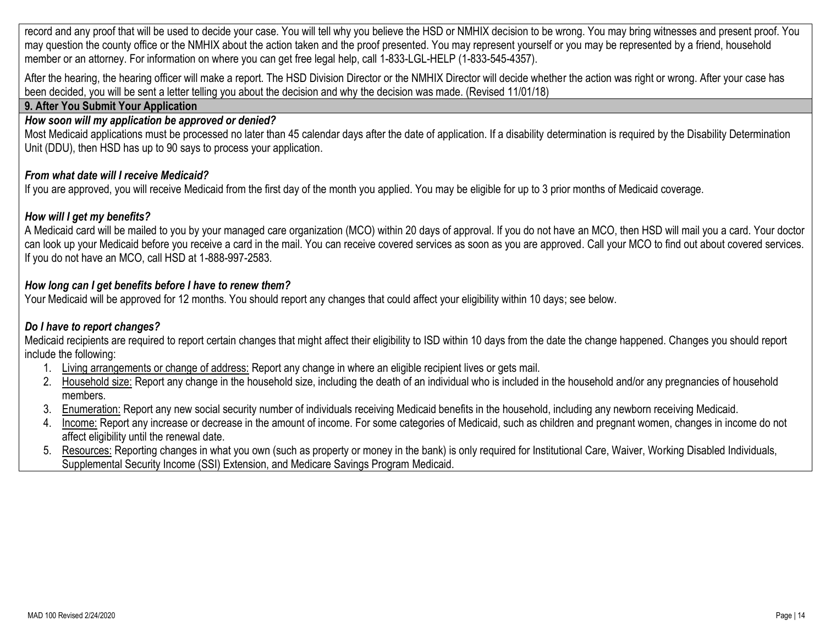record and any proof that will be used to decide your case. You will tell why you believe the HSD or NMHIX decision to be wrong. You may bring witnesses and present proof. You may question the county office or the NMHIX about the action taken and the proof presented. You may represent yourself or you may be represented by a friend, household member or an attorney. For information on where you can get free legal help, call 1-833-LGL-HELP (1-833-545-4357).

After the hearing, the hearing officer will make a report. The HSD Division Director or the NMHIX Director will decide whether the action was right or wrong. After your case has been decided, you will be sent a letter telling you about the decision and why the decision was made. (Revised 11/01/18)

# **9. After You Submit Your Application**

# *How soon will my application be approved or denied?*

Most Medicaid applications must be processed no later than 45 calendar days after the date of application. If a disability determination is required by the Disability Determination Unit (DDU), then HSD has up to 90 says to process your application.

# *From what date will I receive Medicaid?*

If you are approved, you will receive Medicaid from the first day of the month you applied. You may be eligible for up to 3 prior months of Medicaid coverage.

# *How will I get my benefits?*

A Medicaid card will be mailed to you by your managed care organization (MCO) within 20 days of approval. If you do not have an MCO, then HSD will mail you a card. Your doctor can look up your Medicaid before you receive a card in the mail. You can receive covered services as soon as you are approved. Call your MCO to find out about covered services. If you do not have an MCO, call HSD at 1-888-997-2583.

# *How long can I get benefits before I have to renew them?*

Your Medicaid will be approved for 12 months. You should report any changes that could affect your eligibility within 10 days; see below.

# *Do I have to report changes?*

Medicaid recipients are required to report certain changes that might affect their eligibility to ISD within 10 days from the date the change happened. Changes you should report include the following:

- 1. Living arrangements or change of address: Report any change in where an eligible recipient lives or gets mail.
- 2. Household size: Report any change in the household size, including the death of an individual who is included in the household and/or any pregnancies of household members.
- 3. Enumeration: Report any new social security number of individuals receiving Medicaid benefits in the household, including any newborn receiving Medicaid.
- 4. Income: Report any increase or decrease in the amount of income. For some categories of Medicaid, such as children and pregnant women, changes in income do not affect eligibility until the renewal date.
- 5. Resources: Reporting changes in what you own (such as property or money in the bank) is only required for Institutional Care, Waiver, Working Disabled Individuals, Supplemental Security Income (SSI) Extension, and Medicare Savings Program Medicaid.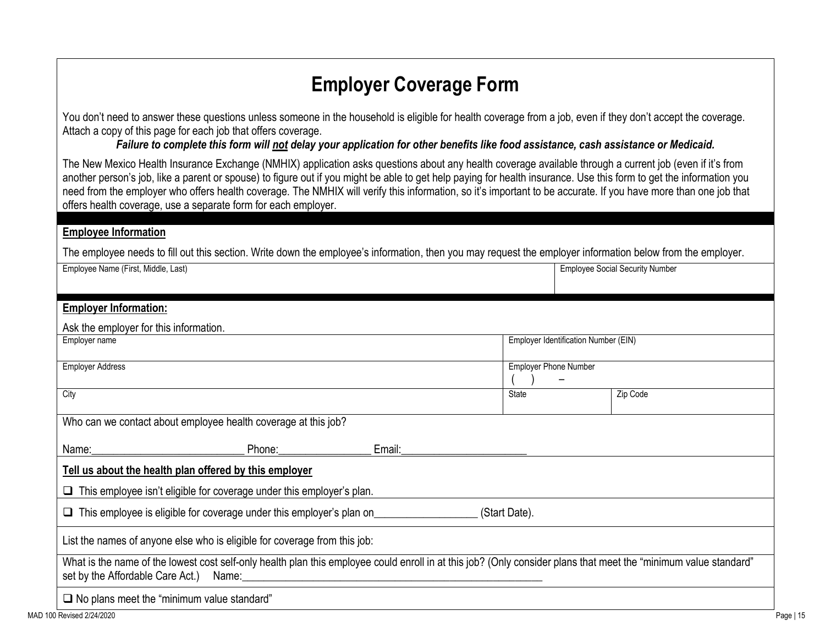# **Employer Coverage Form**

You don't need to answer these questions unless someone in the household is eligible for health coverage from a job, even if they don't accept the coverage. Attach a copy of this page for each job that offers coverage.

*Failure to complete this form will not delay your application for other benefits like food assistance, cash assistance or Medicaid.*

The New Mexico Health Insurance Exchange (NMHIX) application asks questions about any health coverage available through a current job (even if it's from another person's job, like a parent or spouse) to figure out if you might be able to get help paying for health insurance. Use this form to get the information you need from the employer who offers health coverage. The NMHIX will verify this information, so it's important to be accurate. If you have more than one job that offers health coverage, use a separate form for each employer.

# **Employee Information**

The employee needs to fill out this section. Write down the employee's information, then you may request the employer information below from the employer.

| Employee Name (First, Middle, Last)                                                                                                                                                                              |                                      | <b>Employee Social Security Number</b> |  |  |  |  |  |
|------------------------------------------------------------------------------------------------------------------------------------------------------------------------------------------------------------------|--------------------------------------|----------------------------------------|--|--|--|--|--|
| <b>Employer Information:</b>                                                                                                                                                                                     |                                      |                                        |  |  |  |  |  |
| Ask the employer for this information.                                                                                                                                                                           |                                      |                                        |  |  |  |  |  |
| Employer name                                                                                                                                                                                                    | Employer Identification Number (EIN) |                                        |  |  |  |  |  |
| <b>Employer Address</b>                                                                                                                                                                                          | <b>Employer Phone Number</b>         |                                        |  |  |  |  |  |
| City                                                                                                                                                                                                             | <b>State</b>                         | Zip Code                               |  |  |  |  |  |
| Who can we contact about employee health coverage at this job?                                                                                                                                                   |                                      |                                        |  |  |  |  |  |
| Name:<br>Email:                                                                                                                                                                                                  |                                      |                                        |  |  |  |  |  |
| Tell us about the health plan offered by this employer                                                                                                                                                           |                                      |                                        |  |  |  |  |  |
| $\Box$ This employee isn't eligible for coverage under this employer's plan.                                                                                                                                     |                                      |                                        |  |  |  |  |  |
| (Start Date).                                                                                                                                                                                                    |                                      |                                        |  |  |  |  |  |
| List the names of anyone else who is eligible for coverage from this job:                                                                                                                                        |                                      |                                        |  |  |  |  |  |
| What is the name of the lowest cost self-only health plan this employee could enroll in at this job? (Only consider plans that meet the "minimum value standard"<br>set by the Affordable Care Act.) Name: Name: |                                      |                                        |  |  |  |  |  |
| $\Box$ No plans meet the "minimum value standard"                                                                                                                                                                |                                      |                                        |  |  |  |  |  |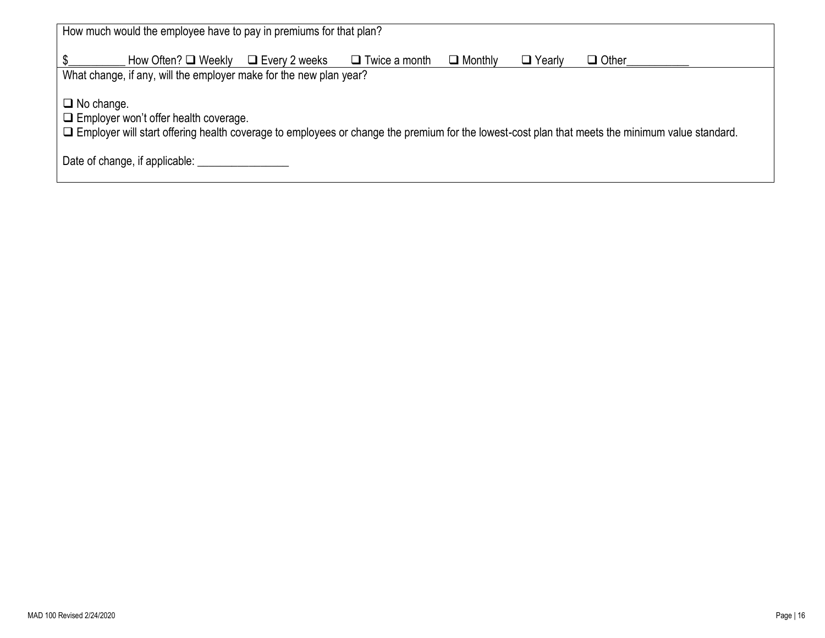| How much would the employee have to pay in premiums for that plan?                                                                                                                                                          |  |  |  |  |  |  |
|-----------------------------------------------------------------------------------------------------------------------------------------------------------------------------------------------------------------------------|--|--|--|--|--|--|
| How Often? $\Box$ Weekly<br>$\Box$ Yearly<br>$\Box$ Monthly<br>$\Box$ Twice a month<br>$\Box$ Every 2 weeks<br>$\Box$ Other                                                                                                 |  |  |  |  |  |  |
| What change, if any, will the employer make for the new plan year?                                                                                                                                                          |  |  |  |  |  |  |
| $\Box$ No change.<br>$\Box$ Employer won't offer health coverage.<br>$\Box$ Employer will start offering health coverage to employees or change the premium for the lowest-cost plan that meets the minimum value standard. |  |  |  |  |  |  |
| Date of change, if applicable:                                                                                                                                                                                              |  |  |  |  |  |  |